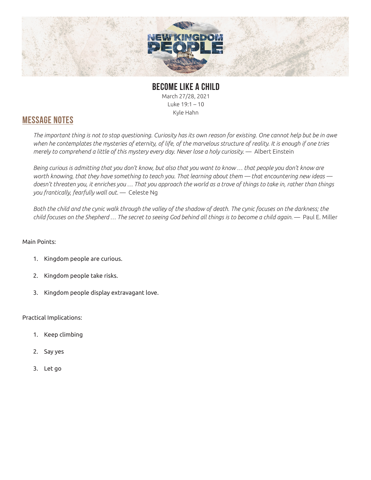

## **BECOME LIKE A CHILD** March 27/28, 2021 Luke 19:1 – 10

Kyle Hahn

## **MESSAGE NOTES**

*The important thing is not to stop questioning. Curiosity has its own reason for existing. One cannot help but be in awe when he contemplates the mysteries of eternity, of life, of the marvelous structure of reality. It is enough if one tries merely to comprehend a little of this mystery every day. Never lose a holy curiosity.* — Albert Einstein

*Being curious is admitting that you don't know, but also that you want to know … that people you don't know are worth knowing, that they have something to teach you. That learning about them — that encountering new ideas doesn't threaten you, it enriches you … That you approach the world as a trove of things to take in, rather than things you frantically, fearfully wall out.* — Celeste Ng

*Both the child and the cynic walk through the valley of the shadow of death. The cynic focuses on the darkness; the child focuses on the Shepherd … The secret to seeing God behind all things is to become a child again.* — Paul E. Miller

## Main Points:

- 1. Kingdom people are curious.
- 2. Kingdom people take risks.
- 3. Kingdom people display extravagant love.

### Practical Implications:

- 1. Keep climbing
- 2. Say yes
- 3. Let go